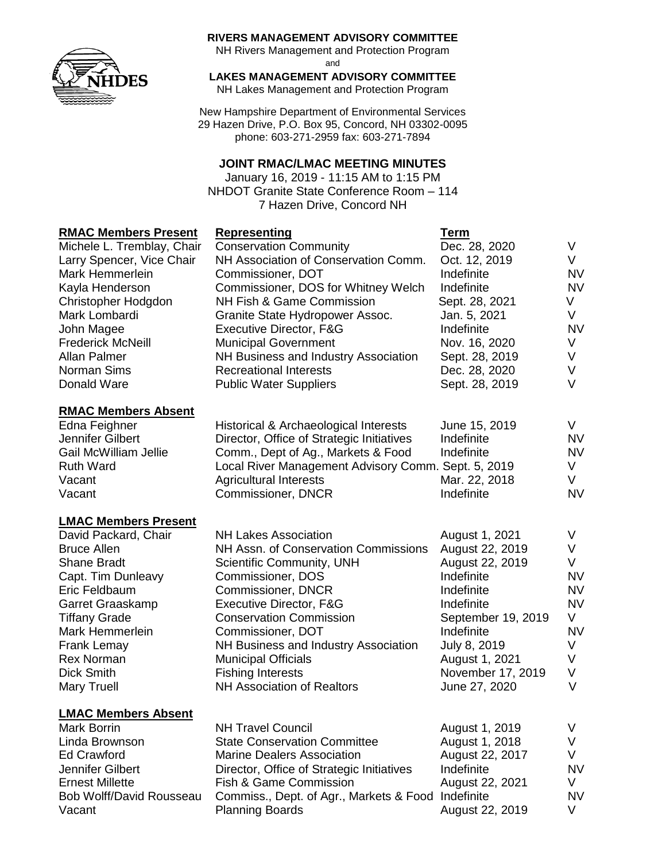

### **RIVERS MANAGEMENT ADVISORY COMMITTEE**

NH Rivers Management and Protection Program

and

**LAKES MANAGEMENT ADVISORY COMMITTEE**

NH Lakes Management and Protection Program

New Hampshire Department of Environmental Services 29 Hazen Drive, P.O. Box 95, Concord, NH 03302-0095 phone: 603-271-2959 fax: 603-271-7894

### **JOINT RMAC/LMAC MEETING MINUTES**

January 16, 2019 - 11:15 AM to 1:15 PM NHDOT Granite State Conference Room – 114 7 Hazen Drive, Concord NH

# **RMAC Members Present Representing Term**

| Michele L. Tremblay, Chair   | <u>was weather</u><br><b>Conservation Community</b> | .<br>Dec. 28, 2020 | V         |
|------------------------------|-----------------------------------------------------|--------------------|-----------|
| Larry Spencer, Vice Chair    | NH Association of Conservation Comm.                | Oct. 12, 2019      | V.        |
| Mark Hemmerlein              | Commissioner, DOT                                   | Indefinite         | <b>NV</b> |
| Kayla Henderson              | Commissioner, DOS for Whitney Welch                 | Indefinite         | <b>NV</b> |
| Christopher Hodgdon          | NH Fish & Game Commission                           | Sept. 28, 2021     | V.        |
| Mark Lombardi                | Granite State Hydropower Assoc.                     | Jan. 5, 2021       | V         |
| John Magee                   | Executive Director, F&G                             | Indefinite         | <b>NV</b> |
| <b>Frederick McNeill</b>     | <b>Municipal Government</b>                         | Nov. 16, 2020      | V         |
| Allan Palmer                 | NH Business and Industry Association                | Sept. 28, 2019     | V         |
| Norman Sims                  | <b>Recreational Interests</b>                       | Dec. 28, 2020      | V         |
| Donald Ware                  | <b>Public Water Suppliers</b>                       | Sept. 28, 2019     | V         |
| <b>RMAC Members Absent</b>   |                                                     |                    |           |
| Edna Feighner                | Historical & Archaeological Interests               | June 15, 2019      | V         |
| Jennifer Gilbert             | Director, Office of Strategic Initiatives           | Indefinite         | <b>NV</b> |
| <b>Gail McWilliam Jellie</b> | Comm., Dept of Ag., Markets & Food                  | Indefinite         | <b>NV</b> |
| <b>Ruth Ward</b>             | Local River Management Advisory Comm. Sept. 5, 2019 |                    | V         |
| Vacant                       | <b>Agricultural Interests</b>                       | Mar. 22, 2018      | V         |
| Vacant                       | Commissioner, DNCR                                  | Indefinite         | <b>NV</b> |
| <b>LMAC Members Present</b>  |                                                     |                    |           |
| David Packard, Chair         | <b>NH Lakes Association</b>                         | August 1, 2021     | V         |
| <b>Bruce Allen</b>           | NH Assn. of Conservation Commissions                | August 22, 2019    | V         |
| <b>Shane Bradt</b>           | Scientific Community, UNH                           | August 22, 2019    | V         |
| Capt. Tim Dunleavy           | Commissioner, DOS                                   | Indefinite         | <b>NV</b> |
| Eric Feldbaum                | Commissioner, DNCR                                  | Indefinite         | <b>NV</b> |
| Garret Graaskamp             | Executive Director, F&G                             | Indefinite         | <b>NV</b> |
| <b>Tiffany Grade</b>         | <b>Conservation Commission</b>                      | September 19, 2019 | V         |
| Mark Hemmerlein              | Commissioner, DOT                                   | Indefinite         | <b>NV</b> |
| <b>Frank Lemay</b>           | NH Business and Industry Association                | July 8, 2019       | V         |
| <b>Rex Norman</b>            | <b>Municipal Officials</b>                          | August 1, 2021     | V         |
| <b>Dick Smith</b>            | <b>Fishing Interests</b>                            | November 17, 2019  | V         |
| <b>Mary Truell</b>           | <b>NH Association of Realtors</b>                   | June 27, 2020      | $\vee$    |
| <b>LMAC Members Absent</b>   |                                                     |                    |           |
| <b>Mark Borrin</b>           | <b>NH Travel Council</b>                            | August 1, 2019     | V         |
| Linda Brownson               | <b>State Conservation Committee</b>                 | August 1, 2018     | V         |
| <b>Ed Crawford</b>           | <b>Marine Dealers Association</b>                   | August 22, 2017    | V         |
| Jennifer Gilbert             | Director, Office of Strategic Initiatives           | Indefinite         | <b>NV</b> |
| <b>Ernest Millette</b>       | Fish & Game Commission                              | August 22, 2021    | V         |
| Bob Wolff/David Rousseau     | Commiss., Dept. of Agr., Markets & Food             | Indefinite         | <b>NV</b> |

Vacant **Planning Boards Planning Boards** August 22, 2019 V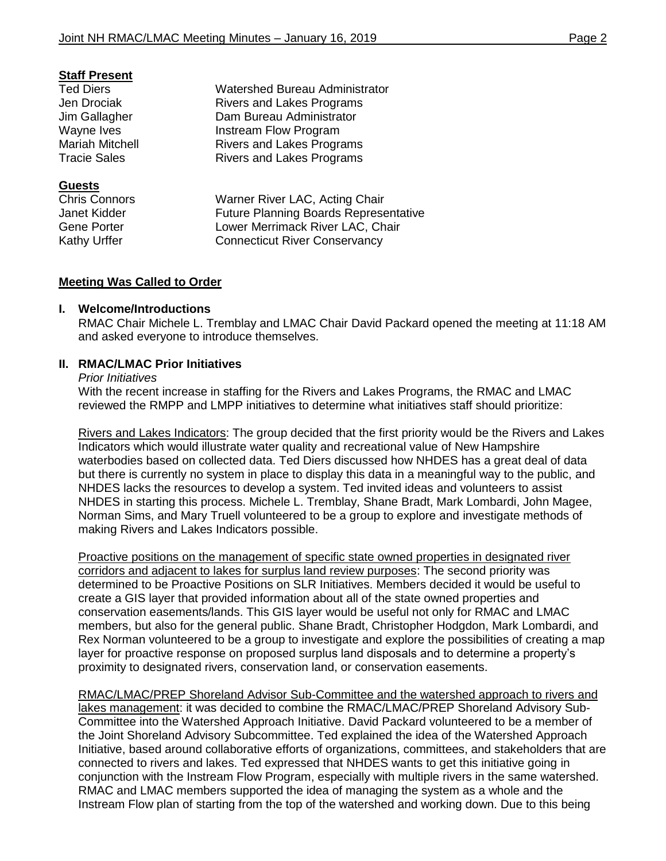## **Staff Present**

### **Guests**

Ted Diers Watershed Bureau Administrator Jen Drociak Rivers and Lakes Programs Jim Gallagher Dam Bureau Administrator Wayne Ives **Instream Flow Program** Mariah Mitchell **Rivers** and Lakes Programs Tracie Sales **Rivers** and Lakes Programs

Chris Connors Warner River LAC, Acting Chair Janet Kidder Future Planning Boards Representative Gene Porter **Lower Merrimack River LAC, Chair** Kathy Urffer **Connecticut River Conservancy** 

# **Meeting Was Called to Order**

## **I. Welcome/Introductions**

RMAC Chair Michele L. Tremblay and LMAC Chair David Packard opened the meeting at 11:18 AM and asked everyone to introduce themselves.

## **II. RMAC/LMAC Prior Initiatives**

#### *Prior Initiatives*

With the recent increase in staffing for the Rivers and Lakes Programs, the RMAC and LMAC reviewed the RMPP and LMPP initiatives to determine what initiatives staff should prioritize:

Rivers and Lakes Indicators: The group decided that the first priority would be the Rivers and Lakes Indicators which would illustrate water quality and recreational value of New Hampshire waterbodies based on collected data. Ted Diers discussed how NHDES has a great deal of data but there is currently no system in place to display this data in a meaningful way to the public, and NHDES lacks the resources to develop a system. Ted invited ideas and volunteers to assist NHDES in starting this process. Michele L. Tremblay, Shane Bradt, Mark Lombardi, John Magee, Norman Sims, and Mary Truell volunteered to be a group to explore and investigate methods of making Rivers and Lakes Indicators possible.

Proactive positions on the management of specific state owned properties in designated river corridors and adjacent to lakes for surplus land review purposes: The second priority was determined to be Proactive Positions on SLR Initiatives. Members decided it would be useful to create a GIS layer that provided information about all of the state owned properties and conservation easements/lands. This GIS layer would be useful not only for RMAC and LMAC members, but also for the general public. Shane Bradt, Christopher Hodgdon, Mark Lombardi, and Rex Norman volunteered to be a group to investigate and explore the possibilities of creating a map layer for proactive response on proposed surplus land disposals and to determine a property's proximity to designated rivers, conservation land, or conservation easements.

RMAC/LMAC/PREP Shoreland Advisor Sub-Committee and the watershed approach to rivers and lakes management: it was decided to combine the RMAC/LMAC/PREP Shoreland Advisory Sub-Committee into the Watershed Approach Initiative. David Packard volunteered to be a member of the Joint Shoreland Advisory Subcommittee. Ted explained the idea of the Watershed Approach Initiative, based around collaborative efforts of organizations, committees, and stakeholders that are connected to rivers and lakes. Ted expressed that NHDES wants to get this initiative going in conjunction with the Instream Flow Program, especially with multiple rivers in the same watershed. RMAC and LMAC members supported the idea of managing the system as a whole and the Instream Flow plan of starting from the top of the watershed and working down. Due to this being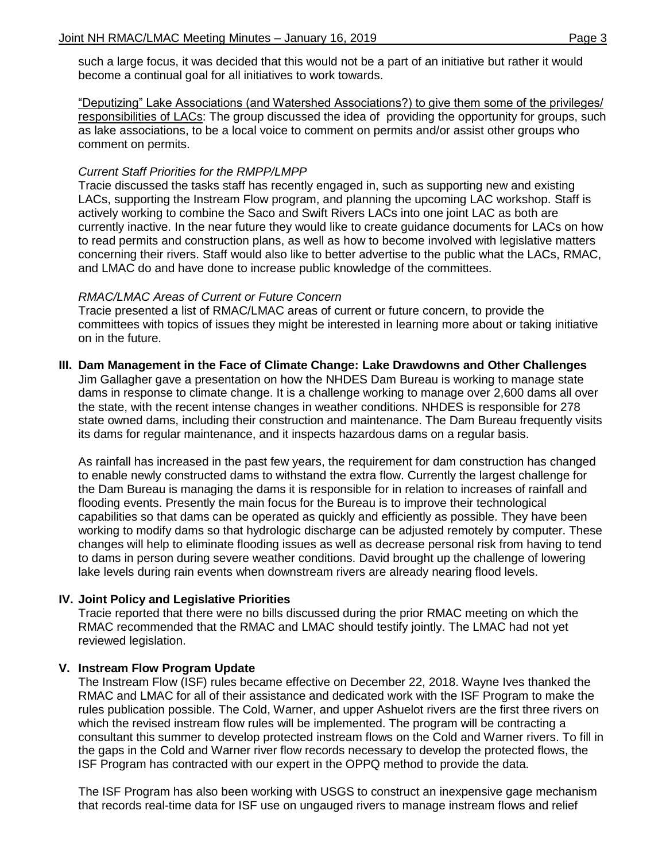such a large focus, it was decided that this would not be a part of an initiative but rather it would become a continual goal for all initiatives to work towards.

"Deputizing" Lake Associations (and Watershed Associations?) to give them some of the privileges/ responsibilities of LACs: The group discussed the idea of providing the opportunity for groups, such as lake associations, to be a local voice to comment on permits and/or assist other groups who comment on permits.

## *Current Staff Priorities for the RMPP/LMPP*

Tracie discussed the tasks staff has recently engaged in, such as supporting new and existing LACs, supporting the Instream Flow program, and planning the upcoming LAC workshop. Staff is actively working to combine the Saco and Swift Rivers LACs into one joint LAC as both are currently inactive. In the near future they would like to create guidance documents for LACs on how to read permits and construction plans, as well as how to become involved with legislative matters concerning their rivers. Staff would also like to better advertise to the public what the LACs, RMAC, and LMAC do and have done to increase public knowledge of the committees.

## *RMAC/LMAC Areas of Current or Future Concern*

Tracie presented a list of RMAC/LMAC areas of current or future concern, to provide the committees with topics of issues they might be interested in learning more about or taking initiative on in the future.

# **III. Dam Management in the Face of Climate Change: Lake Drawdowns and Other Challenges**

Jim Gallagher gave a presentation on how the NHDES Dam Bureau is working to manage state dams in response to climate change. It is a challenge working to manage over 2,600 dams all over the state, with the recent intense changes in weather conditions. NHDES is responsible for 278 state owned dams, including their construction and maintenance. The Dam Bureau frequently visits its dams for regular maintenance, and it inspects hazardous dams on a regular basis.

As rainfall has increased in the past few years, the requirement for dam construction has changed to enable newly constructed dams to withstand the extra flow. Currently the largest challenge for the Dam Bureau is managing the dams it is responsible for in relation to increases of rainfall and flooding events. Presently the main focus for the Bureau is to improve their technological capabilities so that dams can be operated as quickly and efficiently as possible. They have been working to modify dams so that hydrologic discharge can be adjusted remotely by computer. These changes will help to eliminate flooding issues as well as decrease personal risk from having to tend to dams in person during severe weather conditions. David brought up the challenge of lowering lake levels during rain events when downstream rivers are already nearing flood levels.

## **IV. Joint Policy and Legislative Priorities**

Tracie reported that there were no bills discussed during the prior RMAC meeting on which the RMAC recommended that the RMAC and LMAC should testify jointly. The LMAC had not yet reviewed legislation.

# **V. Instream Flow Program Update**

The Instream Flow (ISF) rules became effective on December 22, 2018. Wayne Ives thanked the RMAC and LMAC for all of their assistance and dedicated work with the ISF Program to make the rules publication possible. The Cold, Warner, and upper Ashuelot rivers are the first three rivers on which the revised instream flow rules will be implemented. The program will be contracting a consultant this summer to develop protected instream flows on the Cold and Warner rivers. To fill in the gaps in the Cold and Warner river flow records necessary to develop the protected flows, the ISF Program has contracted with our expert in the OPPQ method to provide the data.

The ISF Program has also been working with USGS to construct an inexpensive gage mechanism that records real-time data for ISF use on ungauged rivers to manage instream flows and relief